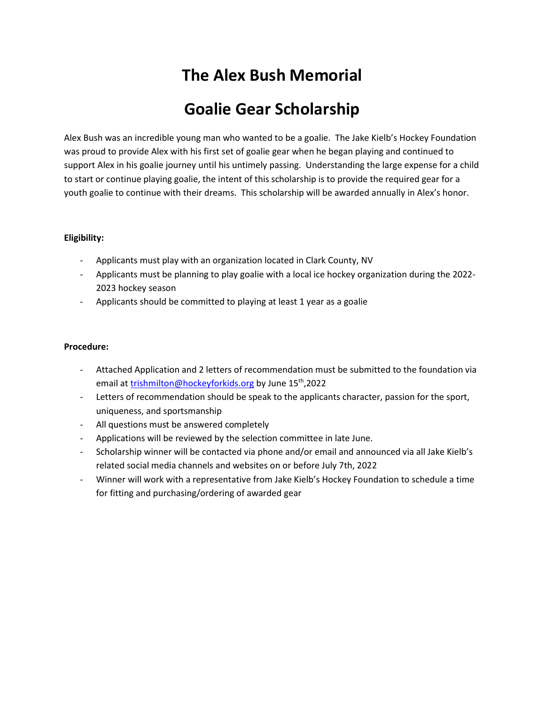## The Alex Bush Memorial

## Goalie Gear Scholarship

Alex Bush was an incredible young man who wanted to be a goalie. The Jake Kielb's Hockey Foundation was proud to provide Alex with his first set of goalie gear when he began playing and continued to support Alex in his goalie journey until his untimely passing. Understanding the large expense for a child to start or continue playing goalie, the intent of this scholarship is to provide the required gear for a youth goalie to continue with their dreams. This scholarship will be awarded annually in Alex's honor.

#### Eligibility:

- Applicants must play with an organization located in Clark County, NV
- Applicants must be planning to play goalie with a local ice hockey organization during the 2022- 2023 hockey season
- Applicants should be committed to playing at least 1 year as a goalie

#### Procedure:

- Attached Application and 2 letters of recommendation must be submitted to the foundation via email at trishmilton@hockeyforkids.org by June 15<sup>th</sup>,2022
- Letters of recommendation should be speak to the applicants character, passion for the sport, uniqueness, and sportsmanship
- All questions must be answered completely
- Applications will be reviewed by the selection committee in late June.
- Scholarship winner will be contacted via phone and/or email and announced via all Jake Kielb's related social media channels and websites on or before July 7th, 2022
- Winner will work with a representative from Jake Kielb's Hockey Foundation to schedule a time for fitting and purchasing/ordering of awarded gear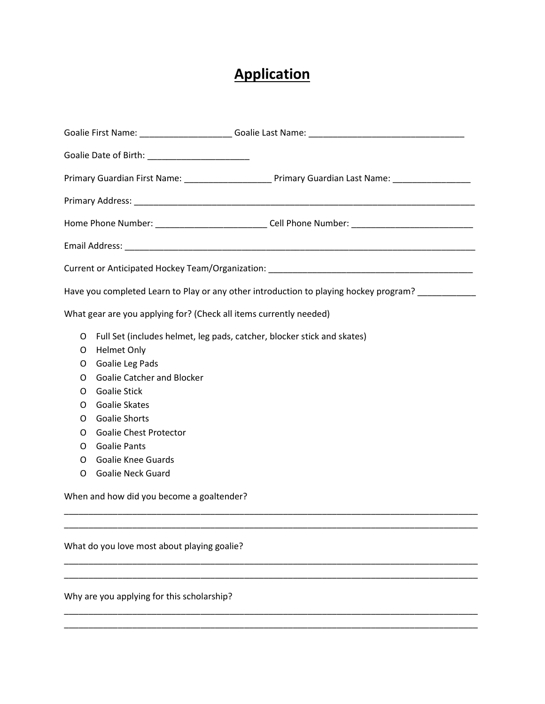# **Application**

| Goalie Date of Birth: __________________________                                                                                                                                                      |  |  |  |  |
|-------------------------------------------------------------------------------------------------------------------------------------------------------------------------------------------------------|--|--|--|--|
|                                                                                                                                                                                                       |  |  |  |  |
|                                                                                                                                                                                                       |  |  |  |  |
| Home Phone Number: _______________________________Cell Phone Number: _______________________________                                                                                                  |  |  |  |  |
| Email Address: North American State Communications of the Communication of the Communication of the Communication                                                                                     |  |  |  |  |
|                                                                                                                                                                                                       |  |  |  |  |
| Have you completed Learn to Play or any other introduction to playing hockey program? __________                                                                                                      |  |  |  |  |
| What gear are you applying for? (Check all items currently needed)                                                                                                                                    |  |  |  |  |
| Full Set (includes helmet, leg pads, catcher, blocker stick and skates)<br>O<br><b>Helmet Only</b><br>O<br>Goalie Leg Pads<br>O<br><b>Goalie Catcher and Blocker</b><br>O<br><b>Goalie Stick</b><br>O |  |  |  |  |
| Goalie Skates<br>O<br><b>Goalie Shorts</b><br>O<br><b>Goalie Chest Protector</b><br>O<br><b>Goalie Pants</b><br>O                                                                                     |  |  |  |  |
| <b>Goalie Knee Guards</b><br>0<br><b>Goalie Neck Guard</b><br>O                                                                                                                                       |  |  |  |  |
| When and how did you become a goaltender?                                                                                                                                                             |  |  |  |  |
| What do you love most about playing goalie?                                                                                                                                                           |  |  |  |  |

\_\_\_\_\_\_\_\_\_\_\_\_\_\_\_\_\_\_\_\_\_\_\_\_\_\_\_\_\_\_\_\_\_\_\_\_\_\_\_\_\_\_\_\_\_\_\_\_\_\_\_\_\_\_\_\_\_\_\_\_\_\_\_\_\_\_\_\_\_\_\_\_\_\_\_\_\_\_\_\_\_\_\_\_\_ \_\_\_\_\_\_\_\_\_\_\_\_\_\_\_\_\_\_\_\_\_\_\_\_\_\_\_\_\_\_\_\_\_\_\_\_\_\_\_\_\_\_\_\_\_\_\_\_\_\_\_\_\_\_\_\_\_\_\_\_\_\_\_\_\_\_\_\_\_\_\_\_\_\_\_\_\_\_\_\_\_\_\_\_\_

Why are you applying for this scholarship?